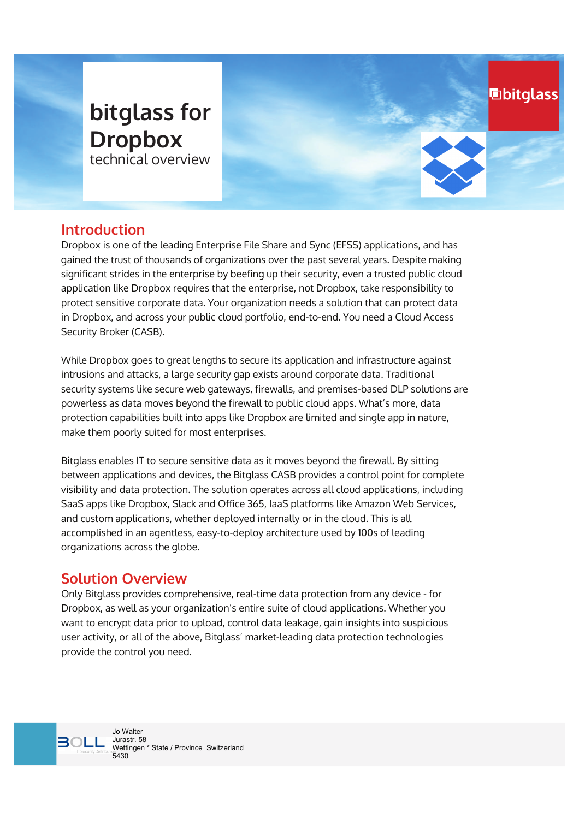# **bitglass for Dropbox** technical overview

**hbitglass** 

## **Introduction**

Dropbox is one of the leading Enterprise File Share and Sync (EFSS) applications, and has gained the trust of thousands of organizations over the past several years. Despite making significant strides in the enterprise by beefing up their security, even a trusted public cloud application like Dropbox requires that the enterprise, not Dropbox, take responsibility to protect sensitive corporate data. Your organization needs a solution that can protect data in Dropbox, and across your public cloud portfolio, end-to-end. You need a Cloud Access Security Broker (CASB).

While Dropbox goes to great lengths to secure its application and infrastructure against intrusions and attacks, a large security gap exists around corporate data. Traditional security systems like secure web gateways, firewalls, and premises-based DLP solutions are powerless as data moves beyond the firewall to public cloud apps. What's more, data protection capabilities built into apps like Dropbox are limited and single app in nature, make them poorly suited for most enterprises.

Bitglass enables IT to secure sensitive data as it moves beyond the firewall. By sitting between applications and devices, the Bitglass CASB provides a control point for complete visibility and data protection. The solution operates across all cloud applications, including SaaS apps like Dropbox, Slack and Office 365, IaaS platforms like Amazon Web Services, and custom applications, whether deployed internally or in the cloud. This is all accomplished in an agentless, easy-to-deploy architecture used by 100s of leading organizations across the globe.

# **Solution Overview**

Only Bitglass provides comprehensive, real-time data protection from any device - for Dropbox, as well as your organization's entire suite of cloud applications. Whether you want to encrypt data prior to upload, control data leakage, gain insights into suspicious user activity, or all of the above, Bitglass' market-leading data protection technologies provide the control you need.

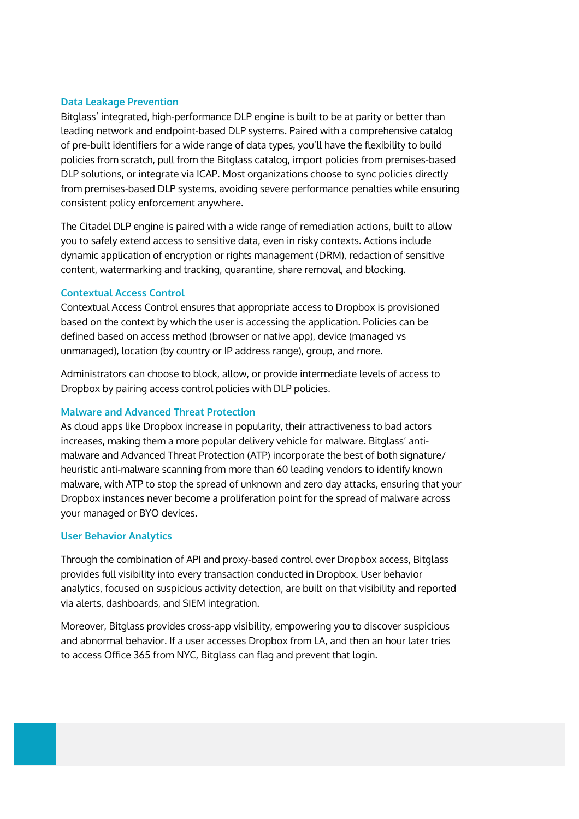#### **Data Leakage Prevention**

Bitglass' integrated, high-performance DLP engine is built to be at parity or better than leading network and endpoint-based DLP systems. Paired with a comprehensive catalog of pre-built identifiers for a wide range of data types, you'll have the flexibility to build policies from scratch, pull from the Bitglass catalog, import policies from premises-based DLP solutions, or integrate via ICAP. Most organizations choose to sync policies directly from premises-based DLP systems, avoiding severe performance penalties while ensuring consistent policy enforcement anywhere.

The Citadel DLP engine is paired with a wide range of remediation actions, built to allow you to safely extend access to sensitive data, even in risky contexts. Actions include dynamic application of encryption or rights management (DRM), redaction of sensitive content, watermarking and tracking, quarantine, share removal, and blocking.

#### **Contextual Access Control**

Contextual Access Control ensures that appropriate access to Dropbox is provisioned based on the context by which the user is accessing the application. Policies can be defined based on access method (browser or native app), device (managed vs unmanaged), location (by country or IP address range), group, and more.

Administrators can choose to block, allow, or provide intermediate levels of access to Dropbox by pairing access control policies with DLP policies.

#### **Malware and Advanced Threat Protection**

As cloud apps like Dropbox increase in popularity, their attractiveness to bad actors increases, making them a more popular delivery vehicle for malware. Bitglass' antimalware and Advanced Threat Protection (ATP) incorporate the best of both signature heuristic anti-malware scanning from more than 60 leading vendors to identify known malware, with ATP to stop the spread of unknown and zero day attacks, ensuring that your Dropbox instances never become a proliferation point for the spread of malware across your managed or BYO devices.

#### **User Behavior Analytics**

Through the combination of API and proxy-based control over Dropbox access, Bitglass provides full visibility into every transaction conducted in Dropbox. User behavior analytics, focused on suspicious activity detection, are built on that visibility and reported via alerts, dashboards, and SIEM integration.

Moreover, Bitglass provides cross-app visibility, empowering you to discover suspicious and abnormal behavior. If a user accesses Dropbox from LA, and then an hour later tries to access Office 365 from 1YC, Bitglass can flag and prevent that login.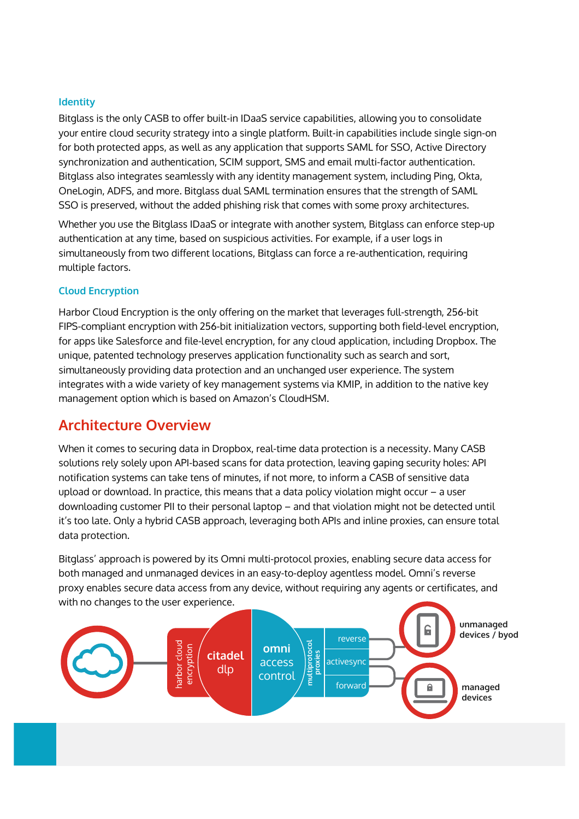#### **,dentit\**

Bitglass is the only CASB to offer built-in IDaaS service capabilities, allowing you to consolidate your entire cloud security strategy into a single platform. Built-in capabilities include single sign-on for both protected apps, as well as any application that supports SAML for SSO, Active Directory synchronization and authentication, SCIM support, SMS and email multi-factor authentication. Bitglass also integrates seamlessly with any identity management system, including Ping, Okta, OneLogin, ADFS, and more. Bitglass dual SAML termination ensures that the strength of SAML SSO is preserved, without the added phishing risk that comes with some proxy architectures.

Whether you use the Bitglass IDaaS or integrate with another system, Bitglass can enforce step-up authentication at any time, based on suspicious activities. For example, if a user logs in simultaneously from two different locations, Bitglass can force a re-authentication, requiring multiple factors.

#### **Cloud Encryption**

Harbor Cloud Encryption is the only offering on the market that leverages full-strength, 256-bit FIPS-compliant encryption with 56-bit initialization vectors, supporting both field-level encryption, for apps like Salesforce and file-level encryption, for any cloud application, including Dropbox. The unique, patented technology preserves application functionality such as search and sort, simultaneously providing data protection and an unchanged user experience. The system integrates with a wide variety of key management systems via KMIP, in addition to the native key management option which is based on Amazon's CloudHSM.

### **Architecture Overview**

When it comes to securing data in Dropbox, real-time data protection is a necessity. Many CASB solutions rely solely upon API-based scans for data protection, leaving gaping security holes; API notification systems can take tens of minutes, if not more, to inform a CASB of sensitive data upload or download. In practice, this means that a data policy violation might occur  $-$  a user downloading customer PII to their personal laptop – and that violation might not be detected until it's too late. Only a hybrid CASB approach, leveraging both APIs and inline proxies, can ensure total data protection.

Bitglass' approach is powered by its Omni multi-protocol proxies, enabling secure data access for both managed and unmanaged devices in an easy-to-deploy agentless model. Omni's reverse proxy enables secure data access from any device, without requiring any agents or certificates, and with no changes to the user experience.